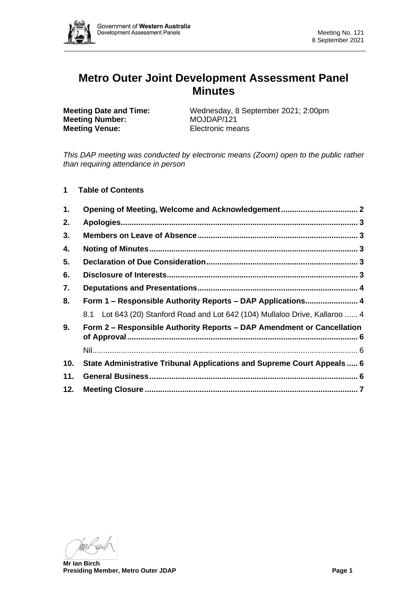

# **Metro Outer Joint Development Assessment Panel Minutes**

**Meeting Number:** MOJDAP/121 **Meeting Venue:** Electronic means

**Meeting Date and Time:** Wednesday, 8 September 2021; 2:00pm

*This DAP meeting was conducted by electronic means (Zoom) open to the public rather than requiring attendance in person*

**1 Table of Contents**

| 1.  | Opening of Meeting, Welcome and Acknowledgement 2                            |  |
|-----|------------------------------------------------------------------------------|--|
| 2.  |                                                                              |  |
| 3.  |                                                                              |  |
| 4.  |                                                                              |  |
| 5.  |                                                                              |  |
| 6.  |                                                                              |  |
| 7.  |                                                                              |  |
| 8.  | Form 1 - Responsible Authority Reports - DAP Applications 4                  |  |
|     | 8.1 Lot 643 (20) Stanford Road and Lot 642 (104) Mullaloo Drive, Kallaroo  4 |  |
| 9.  | Form 2 – Responsible Authority Reports – DAP Amendment or Cancellation       |  |
|     |                                                                              |  |
| 10. | State Administrative Tribunal Applications and Supreme Court Appeals  6      |  |
| 11. |                                                                              |  |
| 12. |                                                                              |  |

Man/

**Mr Ian Birch Presiding Member, Metro Outer JDAP Page 1**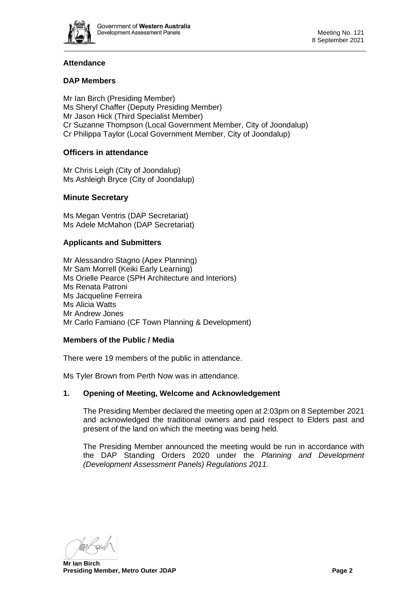

## **Attendance**

## **DAP Members**

Mr Ian Birch (Presiding Member) Ms Sheryl Chaffer (Deputy Presiding Member) Mr Jason Hick (Third Specialist Member) Cr Suzanne Thompson (Local Government Member, City of Joondalup) Cr Philippa Taylor (Local Government Member, City of Joondalup)

## **Officers in attendance**

Mr Chris Leigh (City of Joondalup) Ms Ashleigh Bryce (City of Joondalup)

## **Minute Secretary**

Ms Megan Ventris (DAP Secretariat) Ms Adele McMahon (DAP Secretariat)

## **Applicants and Submitters**

Mr Alessandro Stagno (Apex Planning) Mr Sam Morrell (Keiki Early Learning) Ms Orielle Pearce (SPH Architecture and Interiors) Ms Renata Patroni Ms Jacqueline Ferreira Ms Alicia Watts Mr Andrew Jones Mr Carlo Famiano (CF Town Planning & Development)

## **Members of the Public / Media**

There were 19 members of the public in attendance.

<span id="page-1-0"></span>Ms Tyler Brown from Perth Now was in attendance.

## **1. Opening of Meeting, Welcome and Acknowledgement**

The Presiding Member declared the meeting open at 2:03pm on 8 September 2021 and acknowledged the traditional owners and paid respect to Elders past and present of the land on which the meeting was being held.

The Presiding Member announced the meeting would be run in accordance with the DAP Standing Orders 2020 under the *Planning and Development (Development Assessment Panels) Regulations 2011.*

Man Kerg

**Mr Ian Birch Presiding Member, Metro Outer JDAP Page 2**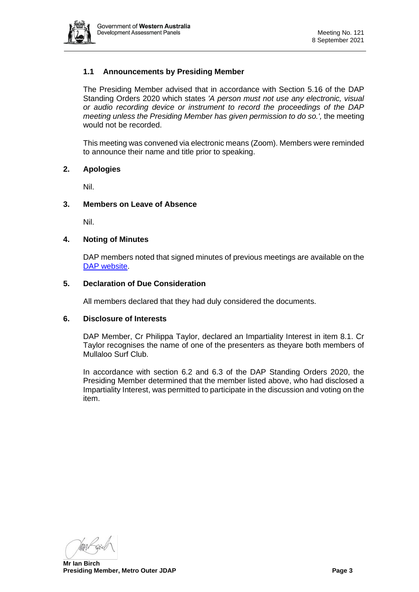

## **1.1 Announcements by Presiding Member**

The Presiding Member advised that in accordance with Section 5.16 of the DAP Standing Orders 2020 which states *'A person must not use any electronic, visual or audio recording device or instrument to record the proceedings of the DAP meeting unless the Presiding Member has given permission to do so.',* the meeting would not be recorded.

This meeting was convened via electronic means (Zoom). Members were reminded to announce their name and title prior to speaking.

#### <span id="page-2-0"></span>**2. Apologies**

Nil.

#### <span id="page-2-1"></span>**3. Members on Leave of Absence**

Nil.

#### <span id="page-2-2"></span>**4. Noting of Minutes**

DAP members noted that signed minutes of previous meetings are available on the [DAP website.](https://www.dplh.wa.gov.au/about/development-assessment-panels/daps-agendas-and-minutes)

#### <span id="page-2-3"></span>**5. Declaration of Due Consideration**

All members declared that they had duly considered the documents.

#### <span id="page-2-4"></span>**6. Disclosure of Interests**

DAP Member, Cr Philippa Taylor, declared an Impartiality Interest in item 8.1. Cr Taylor recognises the name of one of the presenters as theyare both members of Mullaloo Surf Club.

<span id="page-2-5"></span>In accordance with section 6.2 and 6.3 of the DAP Standing Orders 2020, the Presiding Member determined that the member listed above, who had disclosed a Impartiality Interest, was permitted to participate in the discussion and voting on the item.

Man Kerg

**Mr Ian Birch Presiding Member, Metro Outer JDAP Page 3**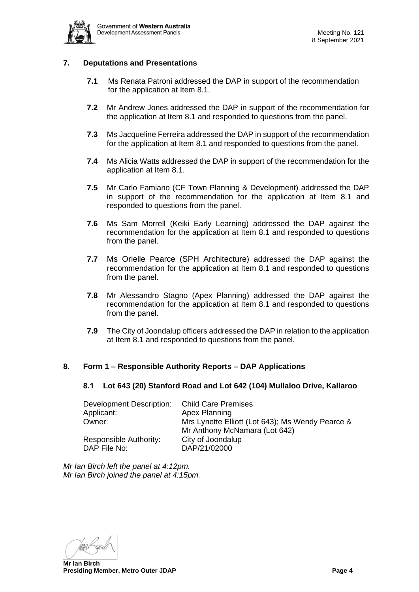

#### **7. Deputations and Presentations**

- **7.1** Ms Renata Patroni addressed the DAP in support of the recommendation for the application at Item 8.1.
- **7.2** Mr Andrew Jones addressed the DAP in support of the recommendation for the application at Item 8.1 and responded to questions from the panel.
- **7.3** Ms Jacqueline Ferreira addressed the DAP in support of the recommendation for the application at Item 8.1 and responded to questions from the panel.
- **7.4** Ms Alicia Watts addressed the DAP in support of the recommendation for the application at Item 8.1.
- **7.5** Mr Carlo Famiano (CF Town Planning & Development) addressed the DAP in support of the recommendation for the application at Item 8.1 and responded to questions from the panel.
- <span id="page-3-0"></span>**7.6** Ms Sam Morrell (Keiki Early Learning) addressed the DAP against the recommendation for the application at Item 8.1 and responded to questions from the panel.
- **7.7** Ms Orielle Pearce (SPH Architecture) addressed the DAP against the recommendation for the application at Item 8.1 and responded to questions from the panel.
- **7.8** Mr Alessandro Stagno (Apex Planning) addressed the DAP against the recommendation for the application at Item 8.1 and responded to questions from the panel.
- **7.9** The City of Joondalup officers addressed the DAP in relation to the application at Item 8.1 and responded to questions from the panel.

## <span id="page-3-1"></span>**8. Form 1 – Responsible Authority Reports – DAP Applications**

## **8.1 Lot 643 (20) Stanford Road and Lot 642 (104) Mullaloo Drive, Kallaroo**

| <b>Child Care Premises</b>                       |  |  |
|--------------------------------------------------|--|--|
| Apex Planning                                    |  |  |
| Mrs Lynette Elliott (Lot 643); Ms Wendy Pearce & |  |  |
| Mr Anthony McNamara (Lot 642)                    |  |  |
| City of Joondalup                                |  |  |
| DAP/21/02000                                     |  |  |
|                                                  |  |  |

*Mr Ian Birch left the panel at 4:12pm. Mr Ian Birch joined the panel at 4:15pm.*

Man Kerg

**Mr Ian Birch Presiding Member, Metro Outer JDAP Page 4**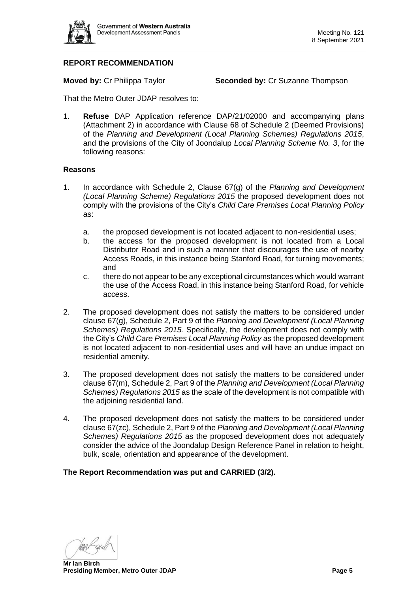

## **REPORT RECOMMENDATION**

**Moved by:** Cr Philippa Taylor **Seconded by:** Cr Suzanne Thompson

That the Metro Outer JDAP resolves to:

1. **Refuse** DAP Application reference DAP/21/02000 and accompanying plans (Attachment 2) in accordance with Clause 68 of Schedule 2 (Deemed Provisions) of the *Planning and Development (Local Planning Schemes) Regulations 2015*, and the provisions of the City of Joondalup *Local Planning Scheme No. 3*, for the following reasons:

#### **Reasons**

- 1. In accordance with Schedule 2, Clause 67(g) of the *Planning and Development (Local Planning Scheme) Regulations 2015* the proposed development does not comply with the provisions of the City's *Child Care Premises Local Planning Policy*  as:
	- a. the proposed development is not located adjacent to non-residential uses;
	- b. the access for the proposed development is not located from a Local Distributor Road and in such a manner that discourages the use of nearby Access Roads, in this instance being Stanford Road, for turning movements; and
	- c. there do not appear to be any exceptional circumstances which would warrant the use of the Access Road, in this instance being Stanford Road, for vehicle access.
- 2. The proposed development does not satisfy the matters to be considered under clause 67(g), Schedule 2, Part 9 of the *Planning and Development (Local Planning Schemes) Regulations 2015.* Specifically, the development does not comply with the City's *Child Care Premises Local Planning Policy* as the proposed development is not located adjacent to non-residential uses and will have an undue impact on residential amenity.
- 3. The proposed development does not satisfy the matters to be considered under clause 67(m), Schedule 2, Part 9 of the *Planning and Development (Local Planning Schemes) Regulations 2015* as the scale of the development is not compatible with the adjoining residential land.
- 4. The proposed development does not satisfy the matters to be considered under clause 67(zc), Schedule 2, Part 9 of the *Planning and Development (Local Planning Schemes) Regulations 2015* as the proposed development does not adequately consider the advice of the Joondalup Design Reference Panel in relation to height, bulk, scale, orientation and appearance of the development.

**The Report Recommendation was put and CARRIED (3/2).**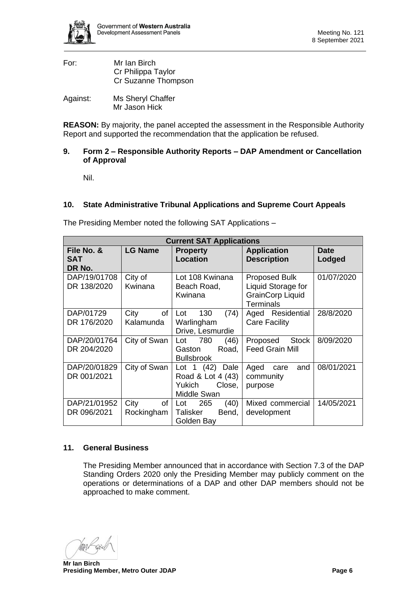| For:                     | Mr Ian Birch        |  |  |
|--------------------------|---------------------|--|--|
|                          | Cr Philippa Taylor  |  |  |
|                          | Cr Suzanne Thompson |  |  |
| $\Lambda$ aoinot $\cdot$ | Mo Charyl Chaffar   |  |  |

Against: Ms Sheryl Chaffer Mr Jason Hick

**REASON:** By majority, the panel accepted the assessment in the Responsible Authority Report and supported the recommendation that the application be refused.

## <span id="page-5-0"></span>**9. Form 2 – Responsible Authority Reports – DAP Amendment or Cancellation of Approval**

<span id="page-5-1"></span>Nil.

## <span id="page-5-2"></span>**10. State Administrative Tribunal Applications and Supreme Court Appeals**

The Presiding Member noted the following SAT Applications –

| <b>Current SAT Applications</b>    |                          |                                                                          |                                                                                           |                       |  |  |  |  |
|------------------------------------|--------------------------|--------------------------------------------------------------------------|-------------------------------------------------------------------------------------------|-----------------------|--|--|--|--|
| File No. &<br><b>SAT</b><br>DR No. | <b>LG Name</b>           | <b>Property</b><br><b>Location</b>                                       | <b>Application</b><br><b>Description</b>                                                  | <b>Date</b><br>Lodged |  |  |  |  |
| DAP/19/01708<br>DR 138/2020        | City of<br>Kwinana       | Lot 108 Kwinana<br>Beach Road,<br>Kwinana                                | <b>Proposed Bulk</b><br>Liquid Storage for<br><b>GrainCorp Liquid</b><br><b>Terminals</b> | 01/07/2020            |  |  |  |  |
| DAP/01729<br>DR 176/2020           | City<br>of<br>Kalamunda  | 130<br>Lot<br>(74)<br>Warlingham<br>Drive, Lesmurdie                     | Aged Residential<br><b>Care Facility</b>                                                  | 28/8/2020             |  |  |  |  |
| DAP/20/01764<br>DR 204/2020        | City of Swan             | 780<br>Lot<br>(46)<br>Road,<br>Gaston<br><b>Bullsbrook</b>               | <b>Stock</b><br>Proposed<br><b>Feed Grain Mill</b>                                        | 8/09/2020             |  |  |  |  |
| DAP/20/01829<br>DR 001/2021        | City of Swan             | Lot $1(42)$ Dale<br>Road & Lot 4 (43)<br>Yukich<br>Close,<br>Middle Swan | and<br>Aged<br>care<br>community<br>purpose                                               | 08/01/2021            |  |  |  |  |
| DAP/21/01952<br>DR 096/2021        | City<br>of<br>Rockingham | 265<br>(40)<br>Lot<br>Talisker<br>Bend,<br>Golden Bay                    | Mixed commercial<br>development                                                           | 14/05/2021            |  |  |  |  |

## <span id="page-5-3"></span>**11. General Business**

The Presiding Member announced that in accordance with Section 7.3 of the DAP Standing Orders 2020 only the Presiding Member may publicly comment on the operations or determinations of a DAP and other DAP members should not be approached to make comment.

Yaari

**Mr Ian Birch Presiding Member, Metro Outer JDAP Page 6**